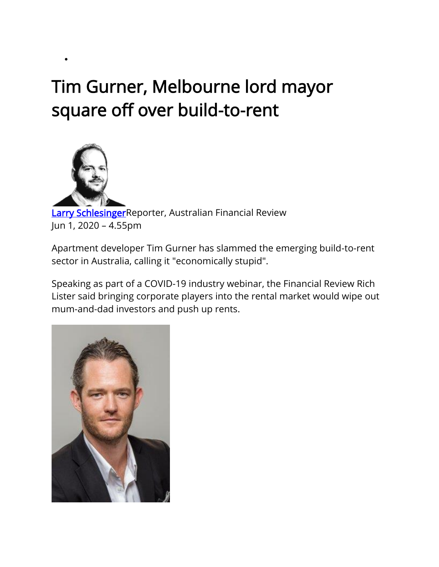## Tim Gurner, Melbourne lord mayor square off over build-to-rent



•

**[Larry SchlesingerR](https://www.afr.com/by/larry-schlesinger-14476t)eporter, Australian Financial Review** Jun 1, 2020 – 4.55pm

Apartment developer Tim Gurner has slammed the emerging build-to-rent sector in Australia, calling it "economically stupid".

Speaking as part of a COVID-19 industry webinar, the Financial Review Rich Lister said bringing corporate players into the rental market would wipe out mum-and-dad investors and push up rents.

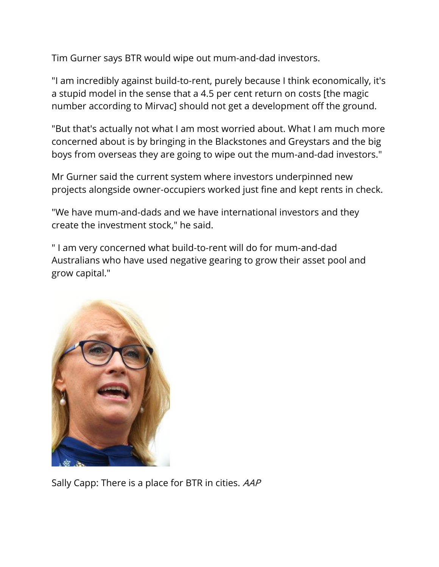Tim Gurner says BTR would wipe out mum-and-dad investors.

"I am incredibly against build-to-rent, purely because I think economically, it's a stupid model in the sense that a 4.5 per cent return on costs [\[the magic](https://www.afr.com/street-talk/mirvac-to-pioneer-build-to-rent-sector-20170830-gy6vgb)  [number according to Mirvac\]](https://www.afr.com/street-talk/mirvac-to-pioneer-build-to-rent-sector-20170830-gy6vgb) should not get a development off the ground.

"But that's actually not what I am most worried about. What I am much more concerned about is by bringing in the Blackstones and Greystars and the big boys from overseas they are going to wipe out the mum-and-dad investors."

Mr Gurner said the current system where investors underpinned new projects alongside owner-occupiers worked just fine and kept rents in check.

"We have mum-and-dads and we have international investors and they create the investment stock," he said.

" I am very concerned what build-to-rent will do for mum-and-dad Australians who have used negative gearing to grow their asset pool and grow capital."



Sally Capp: There is a place for BTR in cities. AAP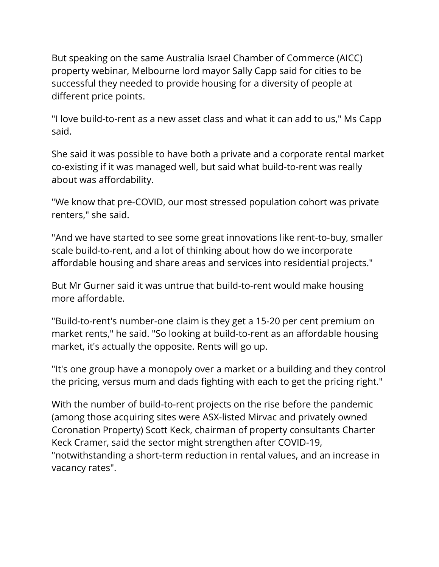But speaking on the same Australia Israel Chamber of Commerce (AICC) property webinar, Melbourne lord mayor Sally Capp said for cities to be successful they needed to provide housing for a diversity of people at different price points.

"I love build-to-rent as a new asset class and what it can add to us," Ms Capp said.

She said it was possible to have both a private and a corporate rental market co-existing if it was managed well, but said what build-to-rent was really about was affordability.

"We know that pre-COVID, our most stressed population cohort was private renters," she said.

"And we have started to see some great innovations like rent-to-buy, smaller scale build-to-rent, and a lot of thinking about how do we incorporate affordable housing and share areas and services into residential projects."

But Mr Gurner said it was untrue that build-to-rent would make housing more affordable.

"Build-to-rent's number-one claim is they get a 15-20 per cent premium on market rents," he said. "So looking at build-to-rent as an affordable housing market, it's actually the opposite. Rents will go up.

"It's one group have a monopoly over a market or a building and they control the pricing, versus mum and dads fighting with each to get the pricing right."

With the number of build-to-rent projects on the rise before the pandemic (among those acquiring sites were ASX-listed Mirvac and privately owned Coronation Property) Scott Keck, chairman of property consultants Charter Keck Cramer, said the sector might strengthen after COVID-19, "notwithstanding a short-term reduction in rental values, and an increase in vacancy rates".